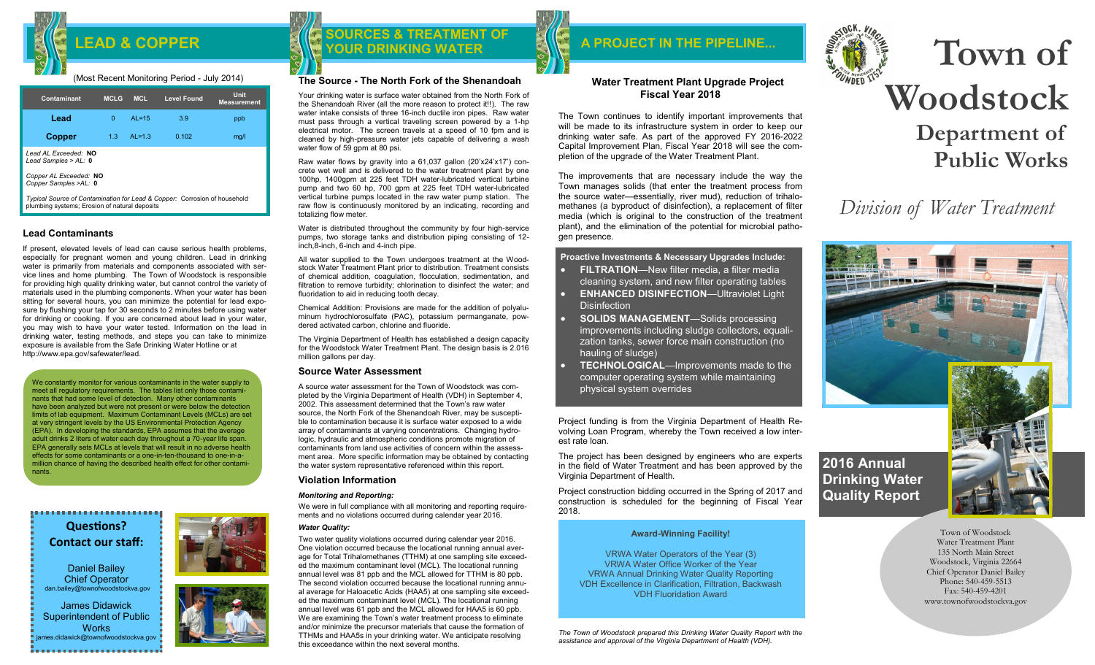## (Most Recent Monitoring Period - July 2014)

| <b>Contaminant</b>                                                        | <b>MCLG</b>  | <b>MCL</b> | <b>Level Found</b> | Unit<br><b>Measurement</b> |
|---------------------------------------------------------------------------|--------------|------------|--------------------|----------------------------|
| Lead                                                                      | <sup>0</sup> | $AL = 15$  | 3.9                | ppb                        |
| Copper                                                                    | 1.3          | $AL=1.3$   | 0.102              | mq/l                       |
| Lead AL Exceeded: NO<br>Lead Samples > $AL: 0$                            |              |            |                    |                            |
| Copper AL Exceeded: NO<br>Copper Samples >AL: 0                           |              |            |                    |                            |
| Typical Source of Contamination for Lead & Copper: Corrosion of household |              |            |                    |                            |

*Typical Source of Contamination for Lead & Copper:* Corrosion of household plumbing systems; Erosion of natural deposits

## **Lead Contaminants**

If present, elevated levels of lead can cause serious health problems, especially for pregnant women and young children. Lead in drinking water is primarily from materials and components associated with service lines and home plumbing. The Town of Woodstock is responsible for providing high quality drinking water, but cannot control the variety of materials used in the plumbing components. When your water has been sitting for several hours, you can minimize the potential for lead exposure by flushing your tap for 30 seconds to 2 minutes before using water for drinking or cooking. If you are concerned about lead in your water, you may wish to have your water tested. Information on the lead in drinking water, testing methods, and steps you can take to minimize exposure is available from the Safe Drinking Water Hotline or at http://www.epa.gov/safewater/lead.

We constantly monitor for various contaminants in the water supply to meet all regulatory requirements. The tables list only those contaminants that had some level of detection. Many other contaminants have been analyzed but were not present or were below the detection limits of lab equipment. Maximum Contaminant Levels (MCLs) are set at very stringent levels by the US Environmental Protection Agency (EPA). In developing the standards, EPA assumes that the average adult drinks 2 liters of water each day throughout a 70-year life span. EPA generally sets MCLs at levels that will result in no adverse health effects for some contaminants or a one-in-ten-thousand to one-in-amillion chance of having the described health effect for other contaminants.

..................... **Questions? Contact our staff:**

Daniel Bailey Chief Operator dan.bailey@townofwoodstockva.gov

James Didawick Superintendent of Public **Works** nes.didawick@townofwoodstockva.gov

## LEAD & COPPER **EXIMEDIATION SOURCES & TREATMENT OF**

## **The Source - The North Fork of the Shenandoah**

Your drinking water is surface water obtained from the North Fork of the Shenandoah River (all the more reason to protect it!!). The raw water intake consists of three 16-inch ductile iron pipes. Raw water must pass through a vertical traveling screen powered by a 1-hp electrical motor. The screen travels at a speed of 10 fpm and is cleaned by high-pressure water jets capable of delivering a wash water flow of 59 gpm at 80 psi.

Raw water flows by gravity into a 61,037 gallon (20'x24'x17') concrete wet well and is delivered to the water treatment plant by one 100hp, 1400gpm at 225 feet TDH water-lubricated vertical turbine pump and two 60 hp, 700 gpm at 225 feet TDH water-lubricated vertical turbine pumps located in the raw water pump station. The raw flow is continuously monitored by an indicating, recording and totalizing flow meter.

Water is distributed throughout the community by four high-service pumps, two storage tanks and distribution piping consisting of 12 inch,8-inch, 6-inch and 4-inch pipe.

All water supplied to the Town undergoes treatment at the Woodstock Water Treatment Plant prior to distribution. Treatment consists of chemical addition, coagulation, flocculation, sedimentation, and filtration to remove turbidity; chlorination to disinfect the water; and fluoridation to aid in reducing tooth decay.

Chemical Addition: Provisions are made for the addition of polyaluminum hydrochlorosulfate (PAC), potassium permanganate, powdered activated carbon, chlorine and fluoride.

The Virginia Department of Health has established a design capacity for the Woodstock Water Treatment Plant. The design basis is 2.016 million gallons per day.

## **Source Water Assessment**

A source water assessment for the Town of Woodstock was completed by the Virginia Department of Health (VDH) in September 4, 2002. This assessment determined that the Town's raw water source, the North Fork of the Shenandoah River, may be susceptible to contamination because it is surface water exposed to a wide array of contaminants at varying concentrations. Changing hydrologic, hydraulic and atmospheric conditions promote migration of contaminants from land use activities of concern within the assessment area. More specific information may be obtained by contacting the water system representative referenced within this report.

## **Violation Information**

## *Monitoring and Reporting:*

We were in full compliance with all monitoring and reporting requirements and no violations occurred during calendar year 2016.

## *Water Quality:*

Two water quality violations occurred during calendar year 2016. One violation occurred because the locational running annual average for Total Trihalomethanes (TTHM) at one sampling site exceeded the maximum contaminant level (MCL). The locational running annual level was 81 ppb and the MCL allowed for TTHM is 80 ppb. The second violation occurred because the locational running annual average for Haloacetic Acids (HAA5) at one sampling site exceeded the maximum contaminant level (MCL). The locational running annual level was 61 ppb and the MCL allowed for HAA5 is 60 ppb. We are examining the Town's water treatment process to eliminate and/or minimize the precursor materials that cause the formation of TTHMs and HAA5s in your drinking water. We anticipate resolving this exceedance within the next several months.

## **Water Treatment Plant Upgrade Project Fiscal Year 2018**

The Town continues to identify important improvements that will be made to its infrastructure system in order to keep our drinking water safe. As part of the approved FY 2016-2022 Capital Improvement Plan, Fiscal Year 2018 will see the completion of the upgrade of the Water Treatment Plant.

 **A PROJECT IN THE PIPELINE...**

The improvements that are necessary include the way the Town manages solids (that enter the treatment process from the source water—essentially, river mud), reduction of trihalomethanes (a byproduct of disinfection), a replacement of filter media (which is original to the construction of the treatment plant), and the elimination of the potential for microbial pathogen presence.

**Proactive Investments & Necessary Upgrades Include:**

- **FILTRATION**—New filter media, a filter media cleaning system, and new filter operating tables
- **ENHANCED DISINFECTION**—Ultraviolet Light **Disinfection**
- **SOLIDS MANAGEMENT**—Solids processing improvements including sludge collectors, equalization tanks, sewer force main construction (no hauling of sludge)
- **TECHNOLOGICAL**—Improvements made to the computer operating system while maintaining physical system overrides

Project funding is from the Virginia Department of Health Revolving Loan Program, whereby the Town received a low interest rate loan.

The project has been designed by engineers who are experts in the field of Water Treatment and has been approved by the Virginia Department of Health.

Project construction bidding occurred in the Spring of 2017 and construction is scheduled for the beginning of Fiscal Year 2018.

## **Award-Winning Facility!**

VRWA Water Operators of the Year (3) VRWA Water Office Worker of the Year VRWA Annual Drinking Water Quality Reporting VDH Excellence in Clarification, Filtration, Backwash VDH Fluoridation Award

*The Town of Woodstock prepared this Drinking Water Quality Report with the assistance and approval of the Virginia Department of Health (VDH).*



# **Town of Woodstock**

**Department of Public Works** 

## *Division of Water Treatment*



Town of Woodstock Water Treatment Plant 135 North Main Street Woodstock, Virginia 22664 Chief Operator Daniel Bailey Phone: 540-459-5513 Fax: 540-459-4201 www.townofwoodstockva.gov